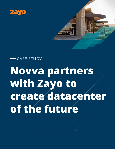

# **Novva partners with Zayo to create datacenter of the future** CASE STUDY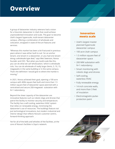## **Overview**

A group of datacenter industry veterans had a vision for a futuristic datacenter in Utah that could achieve unprecedented innovation and scale. The goal: to become Utah's largest hyperscale, multi-tenant datacenter campus, offering a combination of wholesale and colocation, wrapped in state-of-the-art features and services.

"Whereas this market has been a bit fractured in previous years where it was either built to suit for an anchor tenant, one tenant in a datacenter, or you had one tenant doing a wholesale type deal," says Wes Swenson, Novva founder and CEO. "But when you build scale like this, you can do what we call 'wholocation,' which is wholesale colo. You can do wholesale of really large clients, 5, 10, 15, megawatts in the same building or in the same campus. That's the definition I would give to where the market is moving."

In 2021, Novva achieved their goal, opening a 100-acre campus with 400k square feet built and more than 1.5 million square feet of datacenter space planned with a centralized and secure 200-megawatt substation with N+1 redundancy.

Beyond the sheer capacity of the datacenter are innovative features such as robotic dogs and drones that patrol the facility to monitor security and temperature. The facility has a self-cooling, waterless HVAC system that relies on renewable energy, minimizing the datacenter's use of resources. The buildings feature not just technological innovations, but modern industrial and interior design that reflects Novva's customer-centric, forward-thinking approach.

Yet for all of the bells and whistles of the facilities, at the core of Novva's facilities is Zayo's network.

#### **Innovation meets scale**

- Utah's largest master planned hyperscale datacenter campus
- 100 acre Utah campus
- 1.5 million square feet of datacenter space
- 200 MW substation with N+1 redundancy
- Smart monitoring with robotic dogs and drones
- Self-cooling, waterless HVAC
- Fully renewable energy
- 14 inch concrete walls, and more than 3 feet of insulation
- Electromagnetic-pulseprotection paint

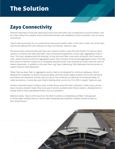## **The Solution**

## **Zayo Connectivity**

Swenson describes a multi-year planning process that starts with core considerations around location, such as a site's safety from weather and environmental threats, the availability of land and power, and, of course, connectivity.

"Zayo's interconnectivity for us is essential for where we sit within Utah. In this case in Utah, one of the main reasons we selected this site is because of Zayo connectivity," Swenson says.

The Novva team worked closely with Zayo over several months to plan the Utah facility. For Novva, Zayo's solution is a diverse four fiber dark fiber ring connecting the datacenter to two major aggregation hubs in Utah. The ring is designed with full diversity, so that the north fiber route starts at Novva's north meet-me room, which connects to the first aggregation point, then connects to the second aggregation point. The ring then returns to Novva's campus on a completely separate south route entering the south meet-me room at Novva's datacenter. In addition to the dark fiber ring, Zayo is delivering 100G dedicated Internet service to support Novva's Utah datacenter.

"When they lay down fiber or aggregation points, they're not designed for minimum adequacy, they're designed for scalability. So they're broad and deep, and then they're highly resilient. And in the real world, that means less downtime. And we rely not only on that resiliency, but because it's broad and deep, it's really low latency. In some key cases they're beating other carriers by 10 to 20% in speed," Swenson says.

Another important aspect of Zayo's scale: it helps Novva scale with their customers. Unlike many carriers, Zayo's massive network means they have spec inventory available when Novva needs it, allowing them to quickly scale to meet unpredicted events such as a pandemic.

3

Swenson states, "Zayo's at the top of our list when it comes to connectivity and fiber in the ground to all the major markets that our clients need. Everybody else would be a distant second to Zayo on that infrastructure."